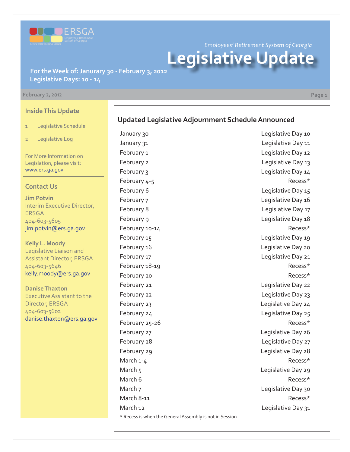

*Employees' Retirement System of Georgia*

**Legislative Update**

**For the Week of: Janurary 30 - February 3, 2012 Legislative Days: 10 - 14**

#### **February 2, 2012 Page 1**

**Inside This Update**

- 1 Legislative Schedule
- 2 Legislative Log

For More Information on Legislation, please visit: www.ers.ga.gov

#### **Contact Us**

**Jim Potvin** Interim Executive Director, ERSGA 404-603-5605 jim.potvin@ers.ga.gov

**Kelly L. Moody** Legislative Liaison and Assistant Director, ERSGA 404-603-5646 kelly.moody@ers.ga.gov

**Danise Thaxton** Executive Assistant to the Director, ERSGA 404-603-5602 danise.thaxton@ers.ga.gov \* Recess is when the General Assembly is not in Session.

January 30 **Legislative Day 10** January 31 Legislative Day 11 February 1 Legislative Day 12 February 2 **Legislative Day 13** February 3 Legislative Day 14 February 4-5 Recess\* February 6 **Legislative Day 15** February 7 Legislative Day 16 February 8 **Legislative Day 17** February 9 **Legislative Day 18** February 10-14 Recess\* February 15 **Legislative Day 19** February 16 **Legislative Day 20** February 17 The Contract of the Legislative Day 21 February 18-19 **Recess**\* February 20 **Recess**\* February 21 **Legislative Day 22** February 22 **Legislative Day 23** February 23 **Legislative Day 24** February 24 **Legislative Day 25** February 25-26 **Recess**\* February 27 **Legislative Day 26** February 28 **Legislative Day 27** February 29 **Legislative Day 28** March 1-4 Recess\* March 5 Legislative Day 29 March 6 **Recess**\* March 7 Legislative Day 30 March 8-11 Recess\* March 12 **March 12** Legislative Day 31

### **Updated Legislative Adjournment Schedule Announced**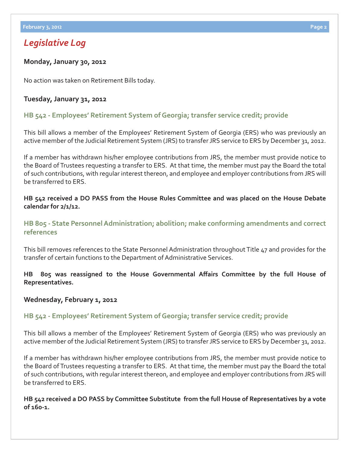## *Legislative Log*

#### **Monday, January 30, 2012**

No action was taken on Retirement Bills today.

#### **Tuesday, January 31, 2012**

### **[HB 542 - Employees' Retirement System of Georgia; transfer service credit; provide](http://www.legis.ga.gov/legislation/en-US/Display/20112012/HB/542)**

This bill allows a member of the Employees' Retirement System of Georgia (ERS) who was previously an active member of the Judicial Retirement System (JRS) to transfer JRS service to ERS by December 31, 2012.

If a member has withdrawn his/her employee contributions from JRS, the member must provide notice to the Board of Trustees requesting a transfer to ERS. At that time, the member must pay the Board the total of such contributions, with regular interest thereon, and employee and employer contributions from JRS will be transferred to ERS.

**HB 542 received a DO PASS from the House Rules Committee and was placed on the House Debate calendar for 2/1/12.**

### **[HB 805 - State Personnel Administration; abolition; make conforming amendments and correct](http://www.legis.ga.gov/legislation/en-US/Display/20112012/HB/805) references**

This bill removes references to the State Personnel Administration throughout Title 47 and provides for the transfer of certain functions to the Department of Administrative Services.

**HB 805 was reassigned to the House Governmental Aff airs Committee by the full House of Representatives.**

#### **Wednesday, February 1, 2012**

#### **[HB 542 - Employees' Retirement System of Georgia; transfer service credit; provide](http://www.legis.ga.gov/legislation/en-US/Display/20112012/HB/542)**

This bill allows a member of the Employees' Retirement System of Georgia (ERS) who was previously an active member of the Judicial Retirement System (JRS) to transfer JRS service to ERS by December 31, 2012.

If a member has withdrawn his/her employee contributions from JRS, the member must provide notice to the Board of Trustees requesting a transfer to ERS. At that time, the member must pay the Board the total of such contributions, with regular interest thereon, and employee and employer contributions from JRS will be transferred to ERS.

#### **HB 542 received a DO PASS by Committee Substitute from the full House of Representatives by a vote of 160-1.**